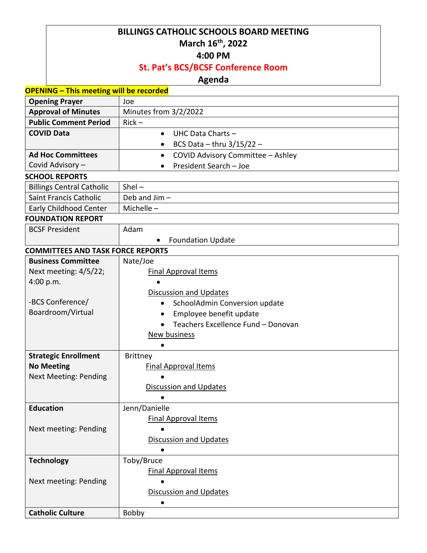#### **BILLINGS CATHOLIC SCHOOLS BOARD MEETING March 16th , 2022**

#### **4:00 PM**

## **St. Pat's BCS/BCSF Conference Room**

## **Agenda**

| <b>OPENING - This meeting will be recorded</b> |                                                 |  |
|------------------------------------------------|-------------------------------------------------|--|
| <b>Opening Prayer</b>                          | Joe                                             |  |
| <b>Approval of Minutes</b>                     | Minutes from 3/2/2022                           |  |
| <b>Public Comment Period</b>                   | $Rick -$                                        |  |
| <b>COVID Data</b>                              | UHC Data Charts -<br>$\bullet$                  |  |
|                                                | BCS Data - thru $3/15/22$ -<br>$\bullet$        |  |
| <b>Ad Hoc Committees</b>                       | COVID Advisory Committee - Ashley<br>$\bullet$  |  |
| Covid Advisory-                                | President Search - Joe                          |  |
| <b>SCHOOL REPORTS</b>                          |                                                 |  |
| <b>Billings Central Catholic</b>               | $Shel -$                                        |  |
| Saint Francis Catholic                         | Deb and Jim-                                    |  |
| <b>Early Childhood Center</b>                  | Michelle $-$                                    |  |
| <b>FOUNDATION REPORT</b>                       |                                                 |  |
| <b>BCSF President</b>                          | Adam                                            |  |
|                                                | <b>Foundation Update</b>                        |  |
| <b>COMMITTEES AND TASK FORCE REPORTS</b>       |                                                 |  |
| <b>Business Committee</b>                      | Nate/Joe                                        |  |
| Next meeting: 4/5/22;                          | <b>Final Approval Items</b>                     |  |
| 4:00 p.m.                                      |                                                 |  |
|                                                | <b>Discussion and Updates</b>                   |  |
| -BCS Conference/                               | SchoolAdmin Conversion update<br>$\bullet$      |  |
| Boardroom/Virtual                              | Employee benefit update                         |  |
|                                                | Teachers Excellence Fund - Donovan<br>$\bullet$ |  |
|                                                | <b>New business</b>                             |  |
|                                                | $\bullet$                                       |  |
| <b>Strategic Enrollment</b>                    | <b>Brittney</b>                                 |  |
| <b>No Meeting</b>                              | <b>Final Approval Items</b>                     |  |
| <b>Next Meeting: Pending</b>                   |                                                 |  |
|                                                | <b>Discussion and Updates</b>                   |  |
|                                                | $\bullet$                                       |  |
| <b>Education</b>                               | Jenn/Danielle                                   |  |
|                                                | <b>Final Approval Items</b>                     |  |
| Next meeting: Pending                          | $\bullet$                                       |  |
|                                                | <b>Discussion and Updates</b>                   |  |
|                                                | $\bullet$                                       |  |
| <b>Technology</b>                              | Toby/Bruce<br><b>Final Approval Items</b>       |  |
| Next meeting: Pending                          |                                                 |  |
|                                                | <b>Discussion and Updates</b>                   |  |
|                                                |                                                 |  |
| <b>Catholic Culture</b>                        | Bobby                                           |  |